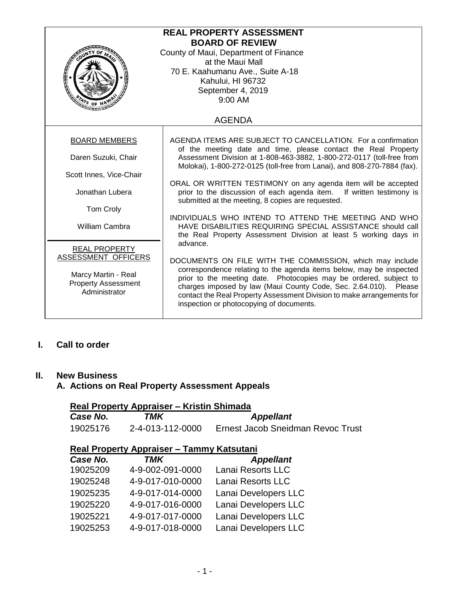| <b>REAL PROPERTY ASSESSMENT</b><br><b>BOARD OF REVIEW</b><br>County of Maui, Department of Finance<br>at the Maui Mall<br>70 E. Kaahumanu Ave., Suite A-18<br>Kahului, HI 96732<br>September 4, 2019 |                                                                                                                                                                                                                                                                                                                                    |  |
|------------------------------------------------------------------------------------------------------------------------------------------------------------------------------------------------------|------------------------------------------------------------------------------------------------------------------------------------------------------------------------------------------------------------------------------------------------------------------------------------------------------------------------------------|--|
| $47E$ OF H                                                                                                                                                                                           | $9:00$ AM                                                                                                                                                                                                                                                                                                                          |  |
| <b>AGENDA</b>                                                                                                                                                                                        |                                                                                                                                                                                                                                                                                                                                    |  |
| <b>BOARD MEMBERS</b>                                                                                                                                                                                 | AGENDA ITEMS ARE SUBJECT TO CANCELLATION. For a confirmation<br>of the meeting date and time, please contact the Real Property                                                                                                                                                                                                     |  |
| Daren Suzuki, Chair                                                                                                                                                                                  | Assessment Division at 1-808-463-3882, 1-800-272-0117 (toll-free from<br>Molokai), 1-800-272-0125 (toll-free from Lanai), and 808-270-7884 (fax).                                                                                                                                                                                  |  |
| Scott Innes, Vice-Chair                                                                                                                                                                              | ORAL OR WRITTEN TESTIMONY on any agenda item will be accepted                                                                                                                                                                                                                                                                      |  |
| Jonathan Lubera                                                                                                                                                                                      | prior to the discussion of each agenda item. If written testimony is<br>submitted at the meeting, 8 copies are requested.                                                                                                                                                                                                          |  |
| Tom Croly                                                                                                                                                                                            |                                                                                                                                                                                                                                                                                                                                    |  |
| <b>William Cambra</b>                                                                                                                                                                                | INDIVIDUALS WHO INTEND TO ATTEND THE MEETING AND WHO<br>HAVE DISABILITIES REQUIRING SPECIAL ASSISTANCE should call<br>the Real Property Assessment Division at least 5 working days in                                                                                                                                             |  |
| <b>REAL PROPERTY</b>                                                                                                                                                                                 | advance.                                                                                                                                                                                                                                                                                                                           |  |
| ASSESSMENT OFFICERS                                                                                                                                                                                  | DOCUMENTS ON FILE WITH THE COMMISSION, which may include                                                                                                                                                                                                                                                                           |  |
| Marcy Martin - Real<br><b>Property Assessment</b><br>Administrator                                                                                                                                   | correspondence relating to the agenda items below, may be inspected<br>prior to the meeting date. Photocopies may be ordered, subject to<br>charges imposed by law (Maui County Code, Sec. 2.64.010). Please<br>contact the Real Property Assessment Division to make arrangements for<br>inspection or photocopying of documents. |  |

# **I. Call to order**

### **II. New Business**

#### **A. Actions on Real Property Assessment Appeals**

### **Real Property Appraiser – Kristin Shimada**

| Case No. | TMK              | <b>Appellant</b>                  |
|----------|------------------|-----------------------------------|
| 19025176 | 2-4-013-112-0000 | Ernest Jacob Sneidman Revoc Trust |

## **Real Property Appraiser – Tammy Katsutani**

| Case No. | <b>TMK</b>       | <b>Appellant</b>     |
|----------|------------------|----------------------|
| 19025209 | 4-9-002-091-0000 | Lanai Resorts LLC    |
| 19025248 | 4-9-017-010-0000 | Lanai Resorts LLC    |
| 19025235 | 4-9-017-014-0000 | Lanai Developers LLC |
| 19025220 | 4-9-017-016-0000 | Lanai Developers LLC |
| 19025221 | 4-9-017-017-0000 | Lanai Developers LLC |
| 19025253 | 4-9-017-018-0000 | Lanai Developers LLC |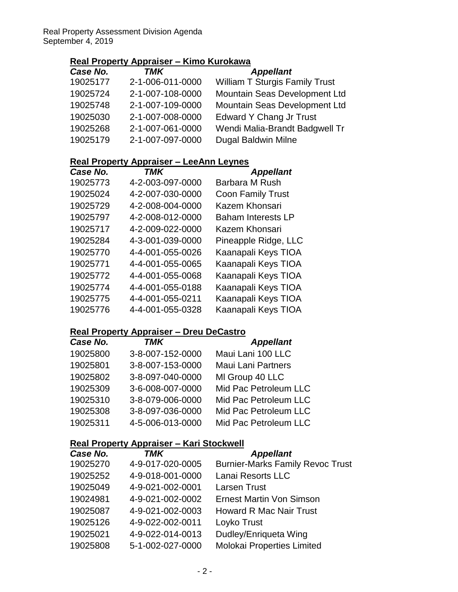### **Real Property Appraiser – Kimo Kurokawa**

| Case No. | <b>TMK</b>       | <b>Appellant</b>                      |
|----------|------------------|---------------------------------------|
| 19025177 | 2-1-006-011-0000 | <b>William T Sturgis Family Trust</b> |
| 19025724 | 2-1-007-108-0000 | Mountain Seas Development Ltd         |
| 19025748 | 2-1-007-109-0000 | Mountain Seas Development Ltd         |
| 19025030 | 2-1-007-008-0000 | <b>Edward Y Chang Jr Trust</b>        |
| 19025268 | 2-1-007-061-0000 | Wendi Malia-Brandt Badgwell Tr        |
| 19025179 | 2-1-007-097-0000 | <b>Dugal Baldwin Milne</b>            |

## **Real Property Appraiser – LeeAnn Leynes**

| <b>TMK</b>       | <b>Appellant</b>          |
|------------------|---------------------------|
| 4-2-003-097-0000 | <b>Barbara M Rush</b>     |
| 4-2-007-030-0000 | <b>Coon Family Trust</b>  |
| 4-2-008-004-0000 | Kazem Khonsari            |
| 4-2-008-012-0000 | <b>Baham Interests LP</b> |
| 4-2-009-022-0000 | Kazem Khonsari            |
| 4-3-001-039-0000 | Pineapple Ridge, LLC      |
| 4-4-001-055-0026 | Kaanapali Keys TIOA       |
| 4-4-001-055-0065 | Kaanapali Keys TIOA       |
| 4-4-001-055-0068 | Kaanapali Keys TIOA       |
| 4-4-001-055-0188 | Kaanapali Keys TIOA       |
| 4-4-001-055-0211 | Kaanapali Keys TIOA       |
| 4-4-001-055-0328 | Kaanapali Keys TIOA       |
|                  |                           |

## **Real Property Appraiser – Dreu DeCastro**

| Case No. | <b>TMK</b>       | <b>Appellant</b>          |
|----------|------------------|---------------------------|
| 19025800 | 3-8-007-152-0000 | Maui Lani 100 LLC         |
| 19025801 | 3-8-007-153-0000 | <b>Maui Lani Partners</b> |
| 19025802 | 3-8-097-040-0000 | MI Group 40 LLC           |
| 19025309 | 3-6-008-007-0000 | Mid Pac Petroleum LLC     |
| 19025310 | 3-8-079-006-0000 | Mid Pac Petroleum LLC     |
| 19025308 | 3-8-097-036-0000 | Mid Pac Petroleum LLC     |
| 19025311 | 4-5-006-013-0000 | Mid Pac Petroleum LLC     |

#### **Real Property Appraiser – Kari Stockwell**

| Case No. | TMK              | <b>Appellant</b>                        |
|----------|------------------|-----------------------------------------|
| 19025270 | 4-9-017-020-0005 | <b>Burnier-Marks Family Revoc Trust</b> |
| 19025252 | 4-9-018-001-0000 | Lanai Resorts LLC                       |
| 19025049 | 4-9-021-002-0001 | <b>Larsen Trust</b>                     |
| 19024981 | 4-9-021-002-0002 | Ernest Martin Von Simson                |
| 19025087 | 4-9-021-002-0003 | <b>Howard R Mac Nair Trust</b>          |
| 19025126 | 4-9-022-002-0011 | Loyko Trust                             |
| 19025021 | 4-9-022-014-0013 | Dudley/Enriqueta Wing                   |
| 19025808 | 5-1-002-027-0000 | Molokai Properties Limited              |
|          |                  |                                         |